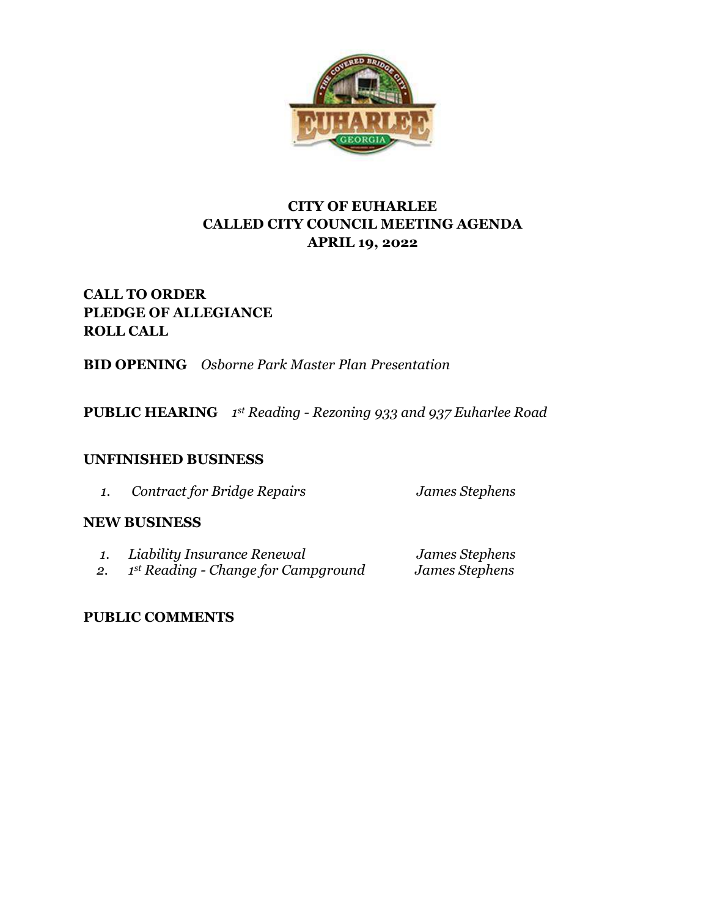

## **CITY OF EUHARLEE CALLED CITY COUNCIL MEETING AGENDA APRIL 19, 2022**

# **CALL TO ORDER PLEDGE OF ALLEGIANCE ROLL CALL**

**BID OPENING** *Osborne Park Master Plan Presentation*

**PUBLIC HEARING** *1 st Reading - Rezoning 933 and 937 Euharlee Road*

### **UNFINISHED BUSINESS**

*1. Contract for Bridge Repairs James Stephens*

### **NEW BUSINESS**

| Liability Insurance Renewal         | James Stephens |
|-------------------------------------|----------------|
| 1st Reading - Change for Campground | James Stephens |

## **PUBLIC COMMENTS**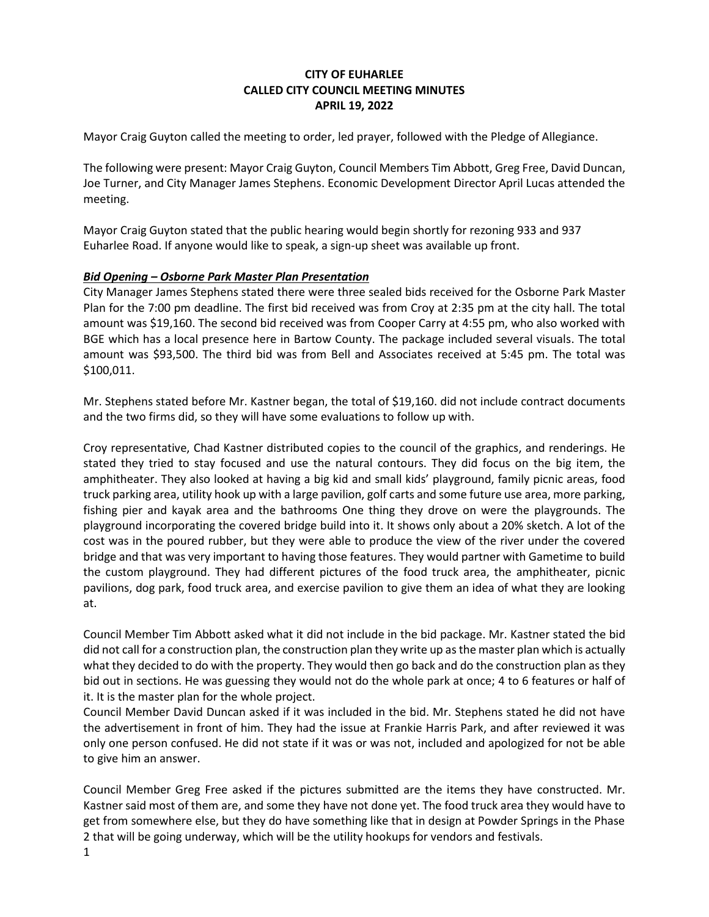#### **CITY OF EUHARLEE CALLED CITY COUNCIL MEETING MINUTES APRIL 19, 2022**

Mayor Craig Guyton called the meeting to order, led prayer, followed with the Pledge of Allegiance.

The following were present: Mayor Craig Guyton, Council Members Tim Abbott, Greg Free, David Duncan, Joe Turner, and City Manager James Stephens. Economic Development Director April Lucas attended the meeting.

Mayor Craig Guyton stated that the public hearing would begin shortly for rezoning 933 and 937 Euharlee Road. If anyone would like to speak, a sign-up sheet was available up front.

#### *Bid Opening – Osborne Park Master Plan Presentation*

City Manager James Stephens stated there were three sealed bids received for the Osborne Park Master Plan for the 7:00 pm deadline. The first bid received was from Croy at 2:35 pm at the city hall. The total amount was \$19,160. The second bid received was from Cooper Carry at 4:55 pm, who also worked with BGE which has a local presence here in Bartow County. The package included several visuals. The total amount was \$93,500. The third bid was from Bell and Associates received at 5:45 pm. The total was \$100,011.

Mr. Stephens stated before Mr. Kastner began, the total of \$19,160. did not include contract documents and the two firms did, so they will have some evaluations to follow up with.

Croy representative, Chad Kastner distributed copies to the council of the graphics, and renderings. He stated they tried to stay focused and use the natural contours. They did focus on the big item, the amphitheater. They also looked at having a big kid and small kids' playground, family picnic areas, food truck parking area, utility hook up with a large pavilion, golf carts and some future use area, more parking, fishing pier and kayak area and the bathrooms One thing they drove on were the playgrounds. The playground incorporating the covered bridge build into it. It shows only about a 20% sketch. A lot of the cost was in the poured rubber, but they were able to produce the view of the river under the covered bridge and that was very important to having those features. They would partner with Gametime to build the custom playground. They had different pictures of the food truck area, the amphitheater, picnic pavilions, dog park, food truck area, and exercise pavilion to give them an idea of what they are looking at.

Council Member Tim Abbott asked what it did not include in the bid package. Mr. Kastner stated the bid did not call for a construction plan, the construction plan they write up as the master plan which is actually what they decided to do with the property. They would then go back and do the construction plan as they bid out in sections. He was guessing they would not do the whole park at once; 4 to 6 features or half of it. It is the master plan for the whole project.

Council Member David Duncan asked if it was included in the bid. Mr. Stephens stated he did not have the advertisement in front of him. They had the issue at Frankie Harris Park, and after reviewed it was only one person confused. He did not state if it was or was not, included and apologized for not be able to give him an answer.

Council Member Greg Free asked if the pictures submitted are the items they have constructed. Mr. Kastner said most of them are, and some they have not done yet. The food truck area they would have to get from somewhere else, but they do have something like that in design at Powder Springs in the Phase 2 that will be going underway, which will be the utility hookups for vendors and festivals.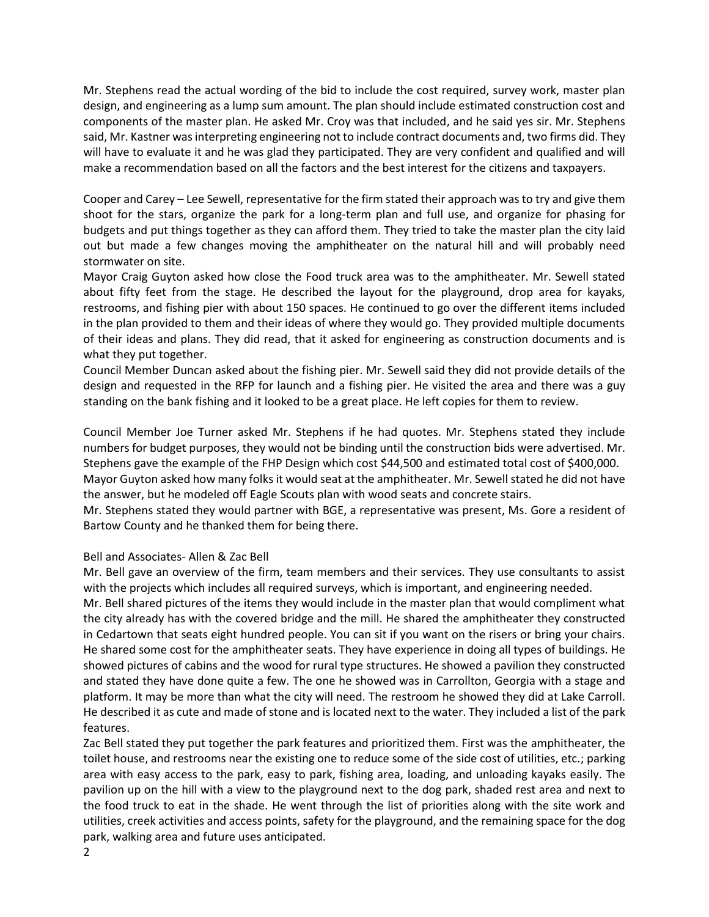Mr. Stephens read the actual wording of the bid to include the cost required, survey work, master plan design, and engineering as a lump sum amount. The plan should include estimated construction cost and components of the master plan. He asked Mr. Croy was that included, and he said yes sir. Mr. Stephens said, Mr. Kastner was interpreting engineering not to include contract documents and, two firms did. They will have to evaluate it and he was glad they participated. They are very confident and qualified and will make a recommendation based on all the factors and the best interest for the citizens and taxpayers.

Cooper and Carey – Lee Sewell, representative for the firm stated their approach was to try and give them shoot for the stars, organize the park for a long-term plan and full use, and organize for phasing for budgets and put things together as they can afford them. They tried to take the master plan the city laid out but made a few changes moving the amphitheater on the natural hill and will probably need stormwater on site.

Mayor Craig Guyton asked how close the Food truck area was to the amphitheater. Mr. Sewell stated about fifty feet from the stage. He described the layout for the playground, drop area for kayaks, restrooms, and fishing pier with about 150 spaces. He continued to go over the different items included in the plan provided to them and their ideas of where they would go. They provided multiple documents of their ideas and plans. They did read, that it asked for engineering as construction documents and is what they put together.

Council Member Duncan asked about the fishing pier. Mr. Sewell said they did not provide details of the design and requested in the RFP for launch and a fishing pier. He visited the area and there was a guy standing on the bank fishing and it looked to be a great place. He left copies for them to review.

Council Member Joe Turner asked Mr. Stephens if he had quotes. Mr. Stephens stated they include numbers for budget purposes, they would not be binding until the construction bids were advertised. Mr. Stephens gave the example of the FHP Design which cost \$44,500 and estimated total cost of \$400,000. Mayor Guyton asked how many folks it would seat at the amphitheater. Mr. Sewell stated he did not have the answer, but he modeled off Eagle Scouts plan with wood seats and concrete stairs.

Mr. Stephens stated they would partner with BGE, a representative was present, Ms. Gore a resident of Bartow County and he thanked them for being there.

#### Bell and Associates- Allen & Zac Bell

Mr. Bell gave an overview of the firm, team members and their services. They use consultants to assist with the projects which includes all required surveys, which is important, and engineering needed. Mr. Bell shared pictures of the items they would include in the master plan that would compliment what the city already has with the covered bridge and the mill. He shared the amphitheater they constructed in Cedartown that seats eight hundred people. You can sit if you want on the risers or bring your chairs. He shared some cost for the amphitheater seats. They have experience in doing all types of buildings. He showed pictures of cabins and the wood for rural type structures. He showed a pavilion they constructed and stated they have done quite a few. The one he showed was in Carrollton, Georgia with a stage and platform. It may be more than what the city will need. The restroom he showed they did at Lake Carroll. He described it as cute and made of stone and is located next to the water. They included a list of the park features.

Zac Bell stated they put together the park features and prioritized them. First was the amphitheater, the toilet house, and restrooms near the existing one to reduce some of the side cost of utilities, etc.; parking area with easy access to the park, easy to park, fishing area, loading, and unloading kayaks easily. The pavilion up on the hill with a view to the playground next to the dog park, shaded rest area and next to the food truck to eat in the shade. He went through the list of priorities along with the site work and utilities, creek activities and access points, safety for the playground, and the remaining space for the dog park, walking area and future uses anticipated.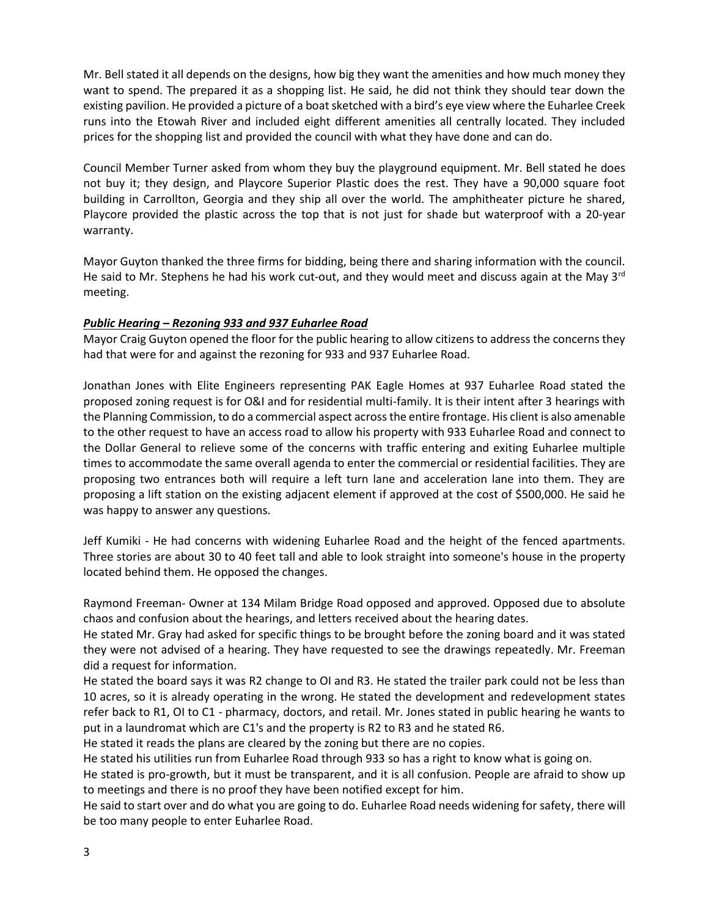Mr. Bell stated it all depends on the designs, how big they want the amenities and how much money they want to spend. The prepared it as a shopping list. He said, he did not think they should tear down the existing pavilion. He provided a picture of a boat sketched with a bird's eye view where the Euharlee Creek runs into the Etowah River and included eight different amenities all centrally located. They included prices for the shopping list and provided the council with what they have done and can do.

Council Member Turner asked from whom they buy the playground equipment. Mr. Bell stated he does not buy it; they design, and Playcore Superior Plastic does the rest. They have a 90,000 square foot building in Carrollton, Georgia and they ship all over the world. The amphitheater picture he shared, Playcore provided the plastic across the top that is not just for shade but waterproof with a 20-year warranty.

Mayor Guyton thanked the three firms for bidding, being there and sharing information with the council. He said to Mr. Stephens he had his work cut-out, and they would meet and discuss again at the May  $3<sup>rd</sup>$ meeting.

#### *Public Hearing – Rezoning 933 and 937 Euharlee Road*

Mayor Craig Guyton opened the floor for the public hearing to allow citizens to address the concerns they had that were for and against the rezoning for 933 and 937 Euharlee Road.

Jonathan Jones with Elite Engineers representing PAK Eagle Homes at 937 Euharlee Road stated the proposed zoning request is for O&I and for residential multi-family. It is their intent after 3 hearings with the Planning Commission, to do a commercial aspect across the entire frontage. His client is also amenable to the other request to have an access road to allow his property with 933 Euharlee Road and connect to the Dollar General to relieve some of the concerns with traffic entering and exiting Euharlee multiple times to accommodate the same overall agenda to enter the commercial or residential facilities. They are proposing two entrances both will require a left turn lane and acceleration lane into them. They are proposing a lift station on the existing adjacent element if approved at the cost of \$500,000. He said he was happy to answer any questions.

Jeff Kumiki - He had concerns with widening Euharlee Road and the height of the fenced apartments. Three stories are about 30 to 40 feet tall and able to look straight into someone's house in the property located behind them. He opposed the changes.

Raymond Freeman- Owner at 134 Milam Bridge Road opposed and approved. Opposed due to absolute chaos and confusion about the hearings, and letters received about the hearing dates.

He stated Mr. Gray had asked for specific things to be brought before the zoning board and it was stated they were not advised of a hearing. They have requested to see the drawings repeatedly. Mr. Freeman did a request for information.

He stated the board says it was R2 change to OI and R3. He stated the trailer park could not be less than 10 acres, so it is already operating in the wrong. He stated the development and redevelopment states refer back to R1, OI to C1 - pharmacy, doctors, and retail. Mr. Jones stated in public hearing he wants to put in a laundromat which are C1's and the property is R2 to R3 and he stated R6.

He stated it reads the plans are cleared by the zoning but there are no copies.

He stated his utilities run from Euharlee Road through 933 so has a right to know what is going on.

He stated is pro-growth, but it must be transparent, and it is all confusion. People are afraid to show up to meetings and there is no proof they have been notified except for him.

He said to start over and do what you are going to do. Euharlee Road needs widening for safety, there will be too many people to enter Euharlee Road.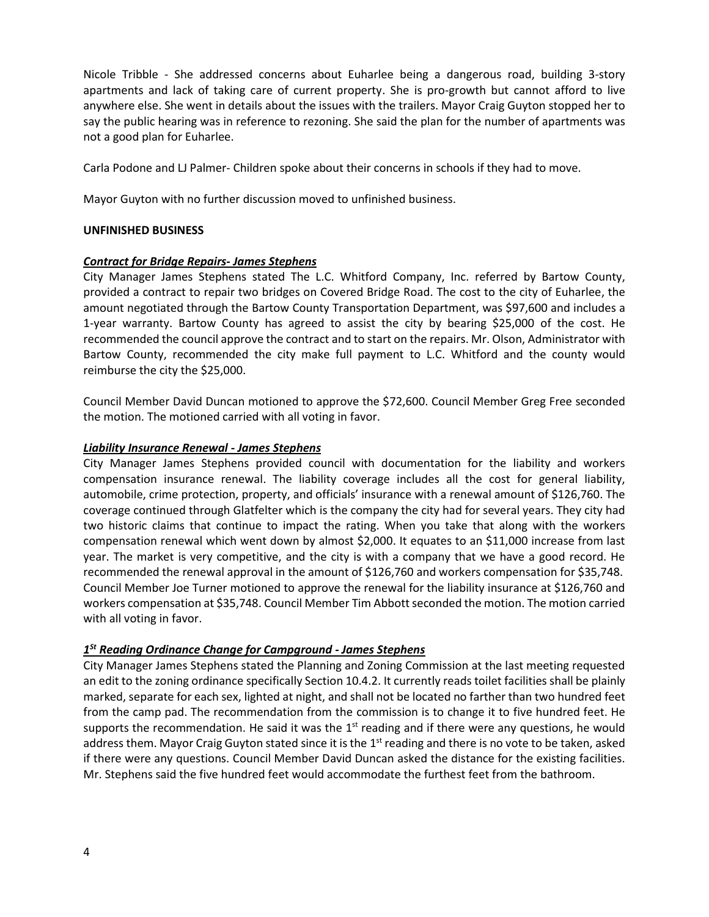Nicole Tribble - She addressed concerns about Euharlee being a dangerous road, building 3-story apartments and lack of taking care of current property. She is pro-growth but cannot afford to live anywhere else. She went in details about the issues with the trailers. Mayor Craig Guyton stopped her to say the public hearing was in reference to rezoning. She said the plan for the number of apartments was not a good plan for Euharlee.

Carla Podone and LJ Palmer- Children spoke about their concerns in schools if they had to move.

Mayor Guyton with no further discussion moved to unfinished business.

#### **UNFINISHED BUSINESS**

#### *Contract for Bridge Repairs- James Stephens*

City Manager James Stephens stated The L.C. Whitford Company, Inc. referred by Bartow County, provided a contract to repair two bridges on Covered Bridge Road. The cost to the city of Euharlee, the amount negotiated through the Bartow County Transportation Department, was \$97,600 and includes a 1-year warranty. Bartow County has agreed to assist the city by bearing \$25,000 of the cost. He recommended the council approve the contract and to start on the repairs. Mr. Olson, Administrator with Bartow County, recommended the city make full payment to L.C. Whitford and the county would reimburse the city the \$25,000.

Council Member David Duncan motioned to approve the \$72,600. Council Member Greg Free seconded the motion. The motioned carried with all voting in favor.

#### *Liability Insurance Renewal - James Stephens*

City Manager James Stephens provided council with documentation for the liability and workers compensation insurance renewal. The liability coverage includes all the cost for general liability, automobile, crime protection, property, and officials' insurance with a renewal amount of \$126,760. The coverage continued through Glatfelter which is the company the city had for several years. They city had two historic claims that continue to impact the rating. When you take that along with the workers compensation renewal which went down by almost \$2,000. It equates to an \$11,000 increase from last year. The market is very competitive, and the city is with a company that we have a good record. He recommended the renewal approval in the amount of \$126,760 and workers compensation for \$35,748. Council Member Joe Turner motioned to approve the renewal for the liability insurance at \$126,760 and workers compensation at \$35,748. Council Member Tim Abbott seconded the motion. The motion carried with all voting in favor.

### *1 St Reading Ordinance Change for Campground - James Stephens*

City Manager James Stephens stated the Planning and Zoning Commission at the last meeting requested an edit to the zoning ordinance specifically Section 10.4.2. It currently reads toilet facilities shall be plainly marked, separate for each sex, lighted at night, and shall not be located no farther than two hundred feet from the camp pad. The recommendation from the commission is to change it to five hundred feet. He supports the recommendation. He said it was the  $1<sup>st</sup>$  reading and if there were any questions, he would address them. Mayor Craig Guyton stated since it is the 1<sup>st</sup> reading and there is no vote to be taken, asked if there were any questions. Council Member David Duncan asked the distance for the existing facilities. Mr. Stephens said the five hundred feet would accommodate the furthest feet from the bathroom.